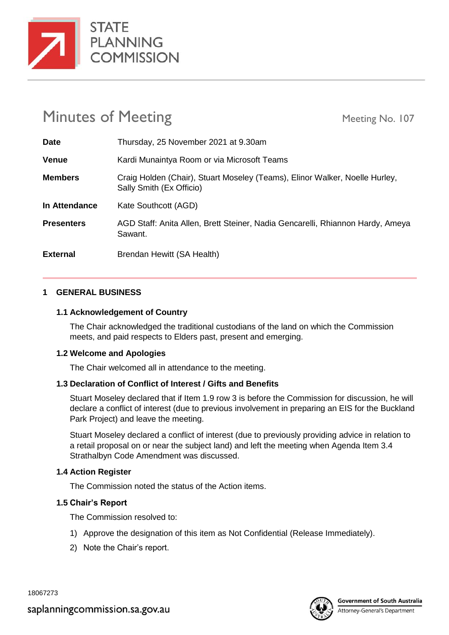

# Minutes of Meeting Meeting Meeting No. 107

| <b>Date</b>       | Thursday, 25 November 2021 at 9.30am                                                                    |
|-------------------|---------------------------------------------------------------------------------------------------------|
| <b>Venue</b>      | Kardi Munaintya Room or via Microsoft Teams                                                             |
| <b>Members</b>    | Craig Holden (Chair), Stuart Moseley (Teams), Elinor Walker, Noelle Hurley,<br>Sally Smith (Ex Officio) |
| In Attendance     | Kate Southcott (AGD)                                                                                    |
| <b>Presenters</b> | AGD Staff: Anita Allen, Brett Steiner, Nadia Gencarelli, Rhiannon Hardy, Ameya<br>Sawant.               |
| <b>External</b>   | Brendan Hewitt (SA Health)                                                                              |

# **1 GENERAL BUSINESS**

# **1.1 Acknowledgement of Country**

The Chair acknowledged the traditional custodians of the land on which the Commission meets, and paid respects to Elders past, present and emerging.

# **1.2 Welcome and Apologies**

The Chair welcomed all in attendance to the meeting.

# **1.3 Declaration of Conflict of Interest / Gifts and Benefits**

Stuart Moseley declared that if Item 1.9 row 3 is before the Commission for discussion, he will declare a conflict of interest (due to previous involvement in preparing an EIS for the Buckland Park Project) and leave the meeting.

Stuart Moseley declared a conflict of interest (due to previously providing advice in relation to a retail proposal on or near the subject land) and left the meeting when Agenda Item 3.4 Strathalbyn Code Amendment was discussed.

# **1.4 Action Register**

The Commission noted the status of the Action items.

# **1.5 Chair's Report**

- 1) Approve the designation of this item as Not Confidential (Release Immediately).
- 2) Note the Chair's report.

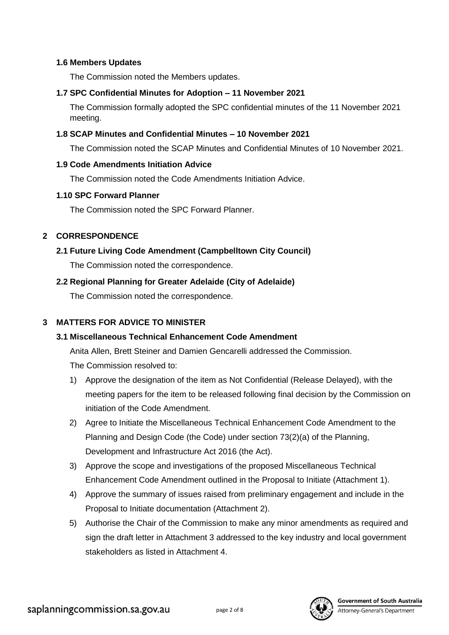#### **1.6 Members Updates**

The Commission noted the Members updates.

# **1.7 SPC Confidential Minutes for Adoption – 11 November 2021**

The Commission formally adopted the SPC confidential minutes of the 11 November 2021 meeting.

# **1.8 SCAP Minutes and Confidential Minutes – 10 November 2021**

The Commission noted the SCAP Minutes and Confidential Minutes of 10 November 2021.

#### **1.9 Code Amendments Initiation Advice**

The Commission noted the Code Amendments Initiation Advice.

#### **1.10 SPC Forward Planner**

The Commission noted the SPC Forward Planner.

# **2 CORRESPONDENCE**

**2.1 Future Living Code Amendment (Campbelltown City Council)**

The Commission noted the correspondence.

# **2.2 Regional Planning for Greater Adelaide (City of Adelaide)**

The Commission noted the correspondence.

# **3 MATTERS FOR ADVICE TO MINISTER**

# **3.1 Miscellaneous Technical Enhancement Code Amendment**

Anita Allen, Brett Steiner and Damien Gencarelli addressed the Commission.

- 1) Approve the designation of the item as Not Confidential (Release Delayed), with the meeting papers for the item to be released following final decision by the Commission on initiation of the Code Amendment.
- 2) Agree to Initiate the Miscellaneous Technical Enhancement Code Amendment to the Planning and Design Code (the Code) under section 73(2)(a) of the Planning, Development and Infrastructure Act 2016 (the Act).
- 3) Approve the scope and investigations of the proposed Miscellaneous Technical Enhancement Code Amendment outlined in the Proposal to Initiate (Attachment 1).
- 4) Approve the summary of issues raised from preliminary engagement and include in the Proposal to Initiate documentation (Attachment 2).
- 5) Authorise the Chair of the Commission to make any minor amendments as required and sign the draft letter in Attachment 3 addressed to the key industry and local government stakeholders as listed in Attachment 4.

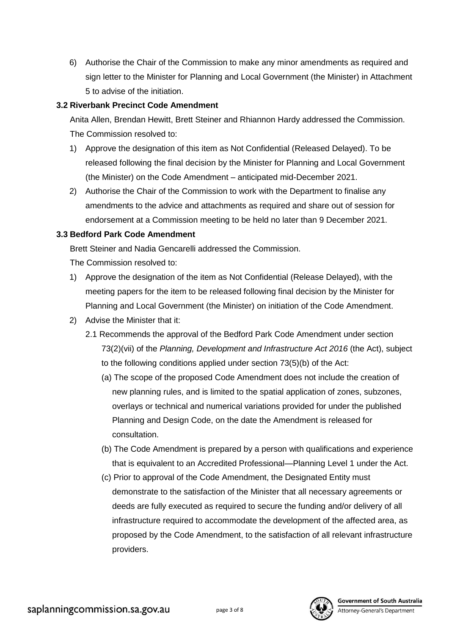6) Authorise the Chair of the Commission to make any minor amendments as required and sign letter to the Minister for Planning and Local Government (the Minister) in Attachment 5 to advise of the initiation.

# **3.2 Riverbank Precinct Code Amendment**

Anita Allen, Brendan Hewitt, Brett Steiner and Rhiannon Hardy addressed the Commission. The Commission resolved to:

- 1) Approve the designation of this item as Not Confidential (Released Delayed). To be released following the final decision by the Minister for Planning and Local Government (the Minister) on the Code Amendment – anticipated mid-December 2021.
- 2) Authorise the Chair of the Commission to work with the Department to finalise any amendments to the advice and attachments as required and share out of session for endorsement at a Commission meeting to be held no later than 9 December 2021.

# **3.3 Bedford Park Code Amendment**

Brett Steiner and Nadia Gencarelli addressed the Commission.

- The Commission resolved to:
- 1) Approve the designation of the item as Not Confidential (Release Delayed), with the meeting papers for the item to be released following final decision by the Minister for Planning and Local Government (the Minister) on initiation of the Code Amendment.
- 2) Advise the Minister that it:
	- 2.1 Recommends the approval of the Bedford Park Code Amendment under section 73(2)(vii) of the *Planning, Development and Infrastructure Act 2016* (the Act), subject to the following conditions applied under section 73(5)(b) of the Act:
		- (a) The scope of the proposed Code Amendment does not include the creation of new planning rules, and is limited to the spatial application of zones, subzones, overlays or technical and numerical variations provided for under the published Planning and Design Code, on the date the Amendment is released for consultation.
		- (b) The Code Amendment is prepared by a person with qualifications and experience that is equivalent to an Accredited Professional—Planning Level 1 under the Act.
		- (c) Prior to approval of the Code Amendment, the Designated Entity must demonstrate to the satisfaction of the Minister that all necessary agreements or deeds are fully executed as required to secure the funding and/or delivery of all infrastructure required to accommodate the development of the affected area, as proposed by the Code Amendment, to the satisfaction of all relevant infrastructure providers.

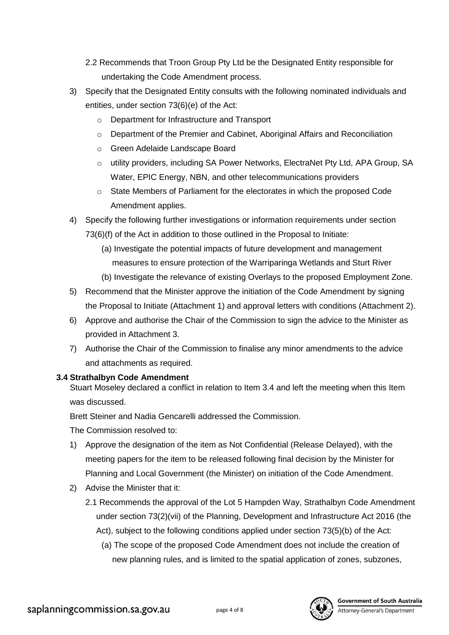- 2.2 Recommends that Troon Group Pty Ltd be the Designated Entity responsible for undertaking the Code Amendment process.
- 3) Specify that the Designated Entity consults with the following nominated individuals and entities, under section 73(6)(e) of the Act:
	- o Department for Infrastructure and Transport
	- o Department of the Premier and Cabinet, Aboriginal Affairs and Reconciliation
	- o Green Adelaide Landscape Board
	- o utility providers, including SA Power Networks, ElectraNet Pty Ltd, APA Group, SA Water, EPIC Energy, NBN, and other telecommunications providers
	- $\circ$  State Members of Parliament for the electorates in which the proposed Code Amendment applies.
- 4) Specify the following further investigations or information requirements under section 73(6)(f) of the Act in addition to those outlined in the Proposal to Initiate:
	- (a) Investigate the potential impacts of future development and management measures to ensure protection of the Warriparinga Wetlands and Sturt River
	- (b) Investigate the relevance of existing Overlays to the proposed Employment Zone.
- 5) Recommend that the Minister approve the initiation of the Code Amendment by signing the Proposal to Initiate (Attachment 1) and approval letters with conditions (Attachment 2).
- 6) Approve and authorise the Chair of the Commission to sign the advice to the Minister as provided in Attachment 3.
- 7) Authorise the Chair of the Commission to finalise any minor amendments to the advice and attachments as required.

# **3.4 Strathalbyn Code Amendment**

Stuart Moseley declared a conflict in relation to Item 3.4 and left the meeting when this Item was discussed.

Brett Steiner and Nadia Gencarelli addressed the Commission.

- 1) Approve the designation of the item as Not Confidential (Release Delayed), with the meeting papers for the item to be released following final decision by the Minister for Planning and Local Government (the Minister) on initiation of the Code Amendment.
- 2) Advise the Minister that it:
	- 2.1 Recommends the approval of the Lot 5 Hampden Way, Strathalbyn Code Amendment under section 73(2)(vii) of the Planning, Development and Infrastructure Act 2016 (the Act), subject to the following conditions applied under section 73(5)(b) of the Act:
		- (a) The scope of the proposed Code Amendment does not include the creation of new planning rules, and is limited to the spatial application of zones, subzones,

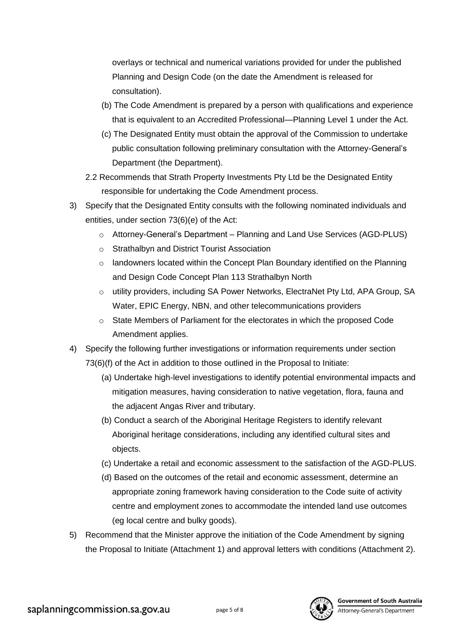overlays or technical and numerical variations provided for under the published Planning and Design Code (on the date the Amendment is released for consultation).

- (b) The Code Amendment is prepared by a person with qualifications and experience that is equivalent to an Accredited Professional—Planning Level 1 under the Act.
- (c) The Designated Entity must obtain the approval of the Commission to undertake public consultation following preliminary consultation with the Attorney-General's Department (the Department).
- 2.2 Recommends that Strath Property Investments Pty Ltd be the Designated Entity responsible for undertaking the Code Amendment process.
- 3) Specify that the Designated Entity consults with the following nominated individuals and entities, under section 73(6)(e) of the Act:
	- o Attorney-General's Department Planning and Land Use Services (AGD-PLUS)
	- o Strathalbyn and District Tourist Association
	- $\circ$  landowners located within the Concept Plan Boundary identified on the Planning and Design Code Concept Plan 113 Strathalbyn North
	- o utility providers, including SA Power Networks, ElectraNet Pty Ltd, APA Group, SA Water, EPIC Energy, NBN, and other telecommunications providers
	- o State Members of Parliament for the electorates in which the proposed Code Amendment applies.
- 4) Specify the following further investigations or information requirements under section 73(6)(f) of the Act in addition to those outlined in the Proposal to Initiate:
	- (a) Undertake high-level investigations to identify potential environmental impacts and mitigation measures, having consideration to native vegetation, flora, fauna and the adjacent Angas River and tributary.
	- (b) Conduct a search of the Aboriginal Heritage Registers to identify relevant Aboriginal heritage considerations, including any identified cultural sites and objects.
	- (c) Undertake a retail and economic assessment to the satisfaction of the AGD-PLUS.
	- (d) Based on the outcomes of the retail and economic assessment, determine an appropriate zoning framework having consideration to the Code suite of activity centre and employment zones to accommodate the intended land use outcomes (eg local centre and bulky goods).
- 5) Recommend that the Minister approve the initiation of the Code Amendment by signing the Proposal to Initiate (Attachment 1) and approval letters with conditions (Attachment 2).

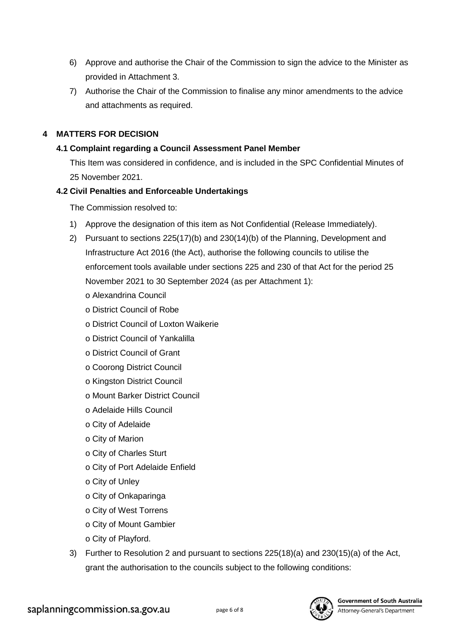- 6) Approve and authorise the Chair of the Commission to sign the advice to the Minister as provided in Attachment 3.
- 7) Authorise the Chair of the Commission to finalise any minor amendments to the advice and attachments as required.

# **4 MATTERS FOR DECISION**

# **4.1 Complaint regarding a Council Assessment Panel Member**

This Item was considered in confidence, and is included in the SPC Confidential Minutes of 25 November 2021.

# **4.2 Civil Penalties and Enforceable Undertakings**

- 1) Approve the designation of this item as Not Confidential (Release Immediately).
- 2) Pursuant to sections 225(17)(b) and 230(14)(b) of the Planning, Development and Infrastructure Act 2016 (the Act), authorise the following councils to utilise the enforcement tools available under sections 225 and 230 of that Act for the period 25 November 2021 to 30 September 2024 (as per Attachment 1):
	- o Alexandrina Council
	- o District Council of Robe
	- o District Council of Loxton Waikerie
	- o District Council of Yankalilla
	- o District Council of Grant
	- o Coorong District Council
	- o Kingston District Council
	- o Mount Barker District Council
	- o Adelaide Hills Council
	- o City of Adelaide
	- o City of Marion
	- o City of Charles Sturt
	- o City of Port Adelaide Enfield
	- o City of Unley
	- o City of Onkaparinga
	- o City of West Torrens
	- o City of Mount Gambier
	- o City of Playford.
- 3) Further to Resolution 2 and pursuant to sections 225(18)(a) and 230(15)(a) of the Act, grant the authorisation to the councils subject to the following conditions:

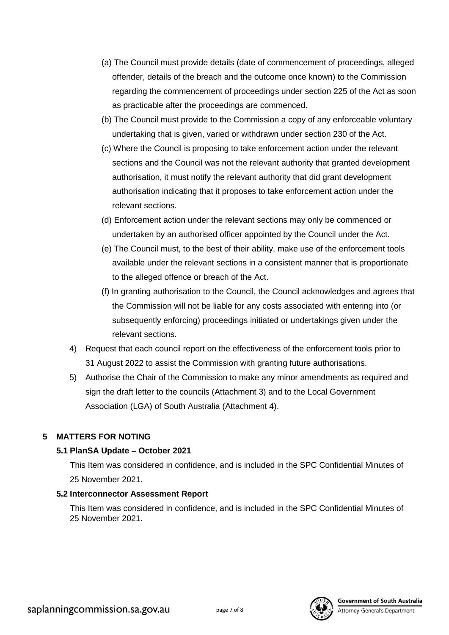- (a) The Council must provide details (date of commencement of proceedings, alleged offender, details of the breach and the outcome once known) to the Commission regarding the commencement of proceedings under section 225 of the Act as soon as practicable after the proceedings are commenced.
- (b) The Council must provide to the Commission a copy of any enforceable voluntary undertaking that is given, varied or withdrawn under section 230 of the Act.
- (c) Where the Council is proposing to take enforcement action under the relevant sections and the Council was not the relevant authority that granted development authorisation, it must notify the relevant authority that did grant development authorisation indicating that it proposes to take enforcement action under the relevant sections.
- (d) Enforcement action under the relevant sections may only be commenced or undertaken by an authorised officer appointed by the Council under the Act.
- (e) The Council must, to the best of their ability, make use of the enforcement tools available under the relevant sections in a consistent manner that is proportionate to the alleged offence or breach of the Act.
- (f) In granting authorisation to the Council, the Council acknowledges and agrees that the Commission will not be liable for any costs associated with entering into (or subsequently enforcing) proceedings initiated or undertakings given under the relevant sections.
- 4) Request that each council report on the effectiveness of the enforcement tools prior to 31 August 2022 to assist the Commission with granting future authorisations.
- 5) Authorise the Chair of the Commission to make any minor amendments as required and sign the draft letter to the councils (Attachment 3) and to the Local Government Association (LGA) of South Australia (Attachment 4).

# **5 MATTERS FOR NOTING**

# **5.1 PlanSA Update – October 2021**

This Item was considered in confidence, and is included in the SPC Confidential Minutes of 25 November 2021.

# **5.2 Interconnector Assessment Report**

This Item was considered in confidence, and is included in the SPC Confidential Minutes of 25 November 2021.